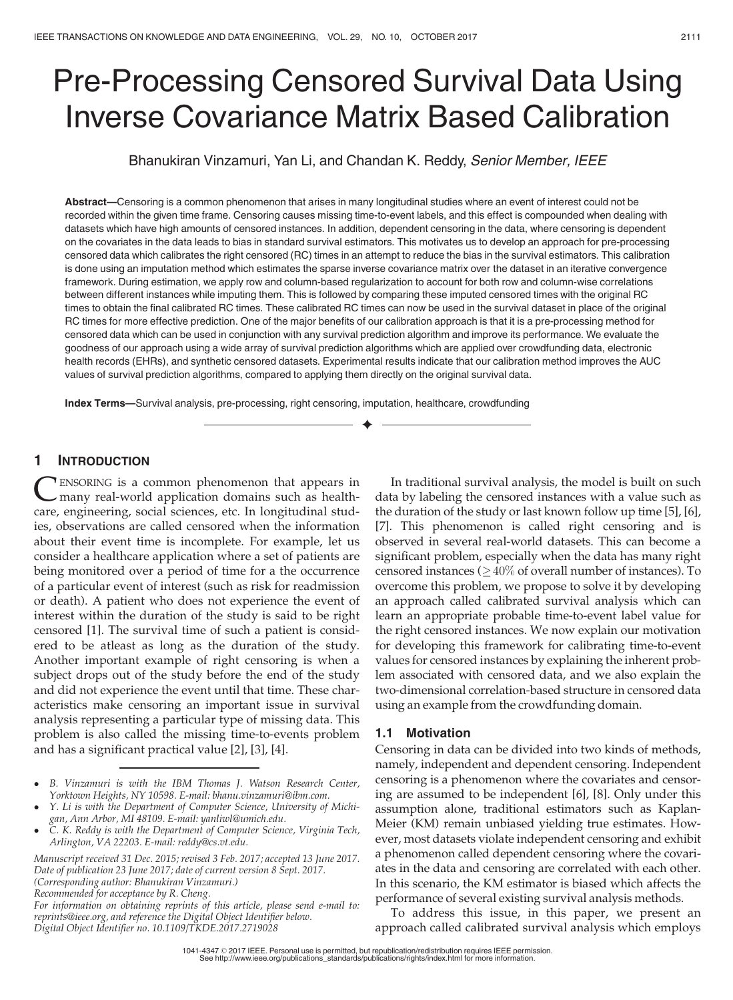# Pre-Processing Censored Survival Data Using Inverse Covariance Matrix Based Calibration

Bhanukiran Vinzamuri, Yan Li, and Chandan K. Reddy, Senior Member, IEEE

Abstract—Censoring is a common phenomenon that arises in many longitudinal studies where an event of interest could not be recorded within the given time frame. Censoring causes missing time-to-event labels, and this effect is compounded when dealing with datasets which have high amounts of censored instances. In addition, dependent censoring in the data, where censoring is dependent on the covariates in the data leads to bias in standard survival estimators. This motivates us to develop an approach for pre-processing censored data which calibrates the right censored (RC) times in an attempt to reduce the bias in the survival estimators. This calibration is done using an imputation method which estimates the sparse inverse covariance matrix over the dataset in an iterative convergence framework. During estimation, we apply row and column-based regularization to account for both row and column-wise correlations between different instances while imputing them. This is followed by comparing these imputed censored times with the original RC times to obtain the final calibrated RC times. These calibrated RC times can now be used in the survival dataset in place of the original RC times for more effective prediction. One of the major benefits of our calibration approach is that it is a pre-processing method for censored data which can be used in conjunction with any survival prediction algorithm and improve its performance. We evaluate the goodness of our approach using a wide array of survival prediction algorithms which are applied over crowdfunding data, electronic health records (EHRs), and synthetic censored datasets. Experimental results indicate that our calibration method improves the AUC values of survival prediction algorithms, compared to applying them directly on the original survival data.

 $\blacklozenge$ 

Index Terms—Survival analysis, pre-processing, right censoring, imputation, healthcare, crowdfunding

# 1 INTRODUCTION

CENSORING is a common phenomenon that appears in many real-world application domains such as healthcare, engineering, social sciences, etc. In longitudinal studies, observations are called censored when the information about their event time is incomplete. For example, let us consider a healthcare application where a set of patients are being monitored over a period of time for a the occurrence of a particular event of interest (such as risk for readmission or death). A patient who does not experience the event of interest within the duration of the study is said to be right censored [1]. The survival time of such a patient is considered to be atleast as long as the duration of the study. Another important example of right censoring is when a subject drops out of the study before the end of the study and did not experience the event until that time. These characteristics make censoring an important issue in survival analysis representing a particular type of missing data. This problem is also called the missing time-to-events problem and has a significant practical value [2], [3], [4].

- B. Vinzamuri is with the IBM Thomas J. Watson Research Center, Yorktown Heights, NY 10598. E-mail: bhanu.vinzamuri@ibm.com.
- Y. Li is with the Department of Computer Science, University of Michigan, Ann Arbor, MI 48109. E-mail: yanliwl@umich.edu.
- C. K. Reddy is with the Department of Computer Science, Virginia Tech, Arlington, VA 22203. E-mail: reddy@cs.vt.edu.

Manuscript received 31 Dec. 2015; revised 3 Feb. 2017; accepted 13 June 2017. Date of publication 23 June 2017; date of current version 8 Sept. 2017. (Corresponding author: Bhanukiran Vinzamuri.) Recommended for acceptance by R. Cheng. For information on obtaining reprints of this article, please send e-mail to:

reprints@ieee.org, and reference the Digital Object Identifier below. Digital Object Identifier no. 10.1109/TKDE.2017.2719028

In traditional survival analysis, the model is built on such data by labeling the censored instances with a value such as the duration of the study or last known follow up time [5], [6], [7]. This phenomenon is called right censoring and is observed in several real-world datasets. This can become a significant problem, especially when the data has many right censored instances ( $\geq$  40% of overall number of instances). To overcome this problem, we propose to solve it by developing an approach called calibrated survival analysis which can learn an appropriate probable time-to-event label value for the right censored instances. We now explain our motivation for developing this framework for calibrating time-to-event values for censored instances by explaining the inherent problem associated with censored data, and we also explain the two-dimensional correlation-based structure in censored data using an example from the crowdfunding domain.

#### 1.1 Motivation

Censoring in data can be divided into two kinds of methods, namely, independent and dependent censoring. Independent censoring is a phenomenon where the covariates and censoring are assumed to be independent [6], [8]. Only under this assumption alone, traditional estimators such as Kaplan-Meier (KM) remain unbiased yielding true estimates. However, most datasets violate independent censoring and exhibit a phenomenon called dependent censoring where the covariates in the data and censoring are correlated with each other. In this scenario, the KM estimator is biased which affects the performance of several existing survival analysis methods.

To address this issue, in this paper, we present an approach called calibrated survival analysis which employs

<sup>1041-4347</sup> 2017 IEEE. Personal use is permitted, but republication/redistribution requires IEEE permission. See http://www.ieee.org/publications\_standards/publications/rights/index.html for more information.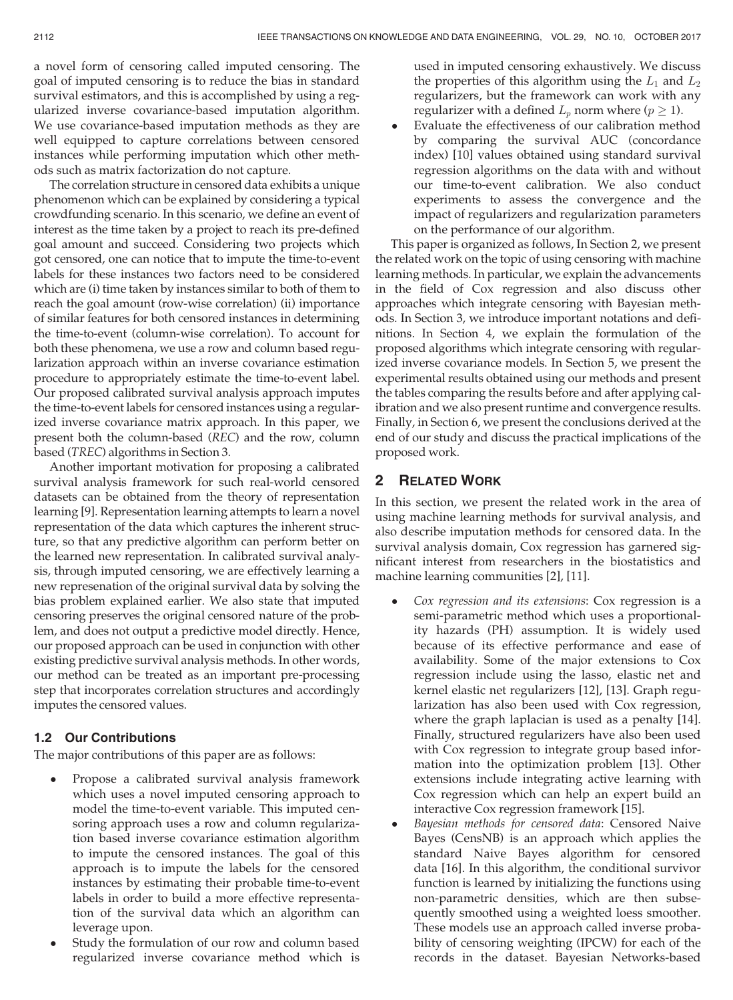The correlation structure in censored data exhibits a unique phenomenon which can be explained by considering a typical crowdfunding scenario. In this scenario, we define an event of interest as the time taken by a project to reach its pre-defined goal amount and succeed. Considering two projects which got censored, one can notice that to impute the time-to-event labels for these instances two factors need to be considered which are (i) time taken by instances similar to both of them to reach the goal amount (row-wise correlation) (ii) importance of similar features for both censored instances in determining the time-to-event (column-wise correlation). To account for both these phenomena, we use a row and column based regularization approach within an inverse covariance estimation procedure to appropriately estimate the time-to-event label. Our proposed calibrated survival analysis approach imputes the time-to-event labels for censored instances using a regularized inverse covariance matrix approach. In this paper, we present both the column-based (REC) and the row, column based (TREC) algorithms in Section 3.

Another important motivation for proposing a calibrated survival analysis framework for such real-world censored datasets can be obtained from the theory of representation learning [9]. Representation learning attempts to learn a novel representation of the data which captures the inherent structure, so that any predictive algorithm can perform better on the learned new representation. In calibrated survival analysis, through imputed censoring, we are effectively learning a new represenation of the original survival data by solving the bias problem explained earlier. We also state that imputed censoring preserves the original censored nature of the problem, and does not output a predictive model directly. Hence, our proposed approach can be used in conjunction with other existing predictive survival analysis methods. In other words, our method can be treated as an important pre-processing step that incorporates correlation structures and accordingly imputes the censored values.

# 1.2 Our Contributions

The major contributions of this paper are as follows:

- Propose a calibrated survival analysis framework which uses a novel imputed censoring approach to model the time-to-event variable. This imputed censoring approach uses a row and column regularization based inverse covariance estimation algorithm to impute the censored instances. The goal of this approach is to impute the labels for the censored instances by estimating their probable time-to-event labels in order to build a more effective representation of the survival data which an algorithm can leverage upon.
- Study the formulation of our row and column based regularized inverse covariance method which is

used in imputed censoring exhaustively. We discuss the properties of this algorithm using the  $L_1$  and  $L_2$ regularizers, but the framework can work with any regularizer with a defined  $L_p$  norm where ( $p \ge 1$ ).

 Evaluate the effectiveness of our calibration method by comparing the survival AUC (concordance index) [10] values obtained using standard survival regression algorithms on the data with and without our time-to-event calibration. We also conduct experiments to assess the convergence and the impact of regularizers and regularization parameters on the performance of our algorithm.

This paper is organized as follows, In Section 2, we present the related work on the topic of using censoring with machine learning methods. In particular, we explain the advancements in the field of Cox regression and also discuss other approaches which integrate censoring with Bayesian methods. In Section 3, we introduce important notations and definitions. In Section 4, we explain the formulation of the proposed algorithms which integrate censoring with regularized inverse covariance models. In Section 5, we present the experimental results obtained using our methods and present the tables comparing the results before and after applying calibration and we also present runtime and convergence results. Finally, in Section 6, we present the conclusions derived at the end of our study and discuss the practical implications of the proposed work.

# 2 RELATED WORK

In this section, we present the related work in the area of using machine learning methods for survival analysis, and also describe imputation methods for censored data. In the survival analysis domain, Cox regression has garnered significant interest from researchers in the biostatistics and machine learning communities [2], [11].

- Cox regression and its extensions: Cox regression is a semi-parametric method which uses a proportionality hazards (PH) assumption. It is widely used because of its effective performance and ease of availability. Some of the major extensions to Cox regression include using the lasso, elastic net and kernel elastic net regularizers [12], [13]. Graph regularization has also been used with Cox regression, where the graph laplacian is used as a penalty [14]. Finally, structured regularizers have also been used with Cox regression to integrate group based information into the optimization problem [13]. Other extensions include integrating active learning with Cox regression which can help an expert build an interactive Cox regression framework [15].
- Bayesian methods for censored data: Censored Naive Bayes (CensNB) is an approach which applies the standard Naive Bayes algorithm for censored data [16]. In this algorithm, the conditional survivor function is learned by initializing the functions using non-parametric densities, which are then subsequently smoothed using a weighted loess smoother. These models use an approach called inverse probability of censoring weighting (IPCW) for each of the records in the dataset. Bayesian Networks-based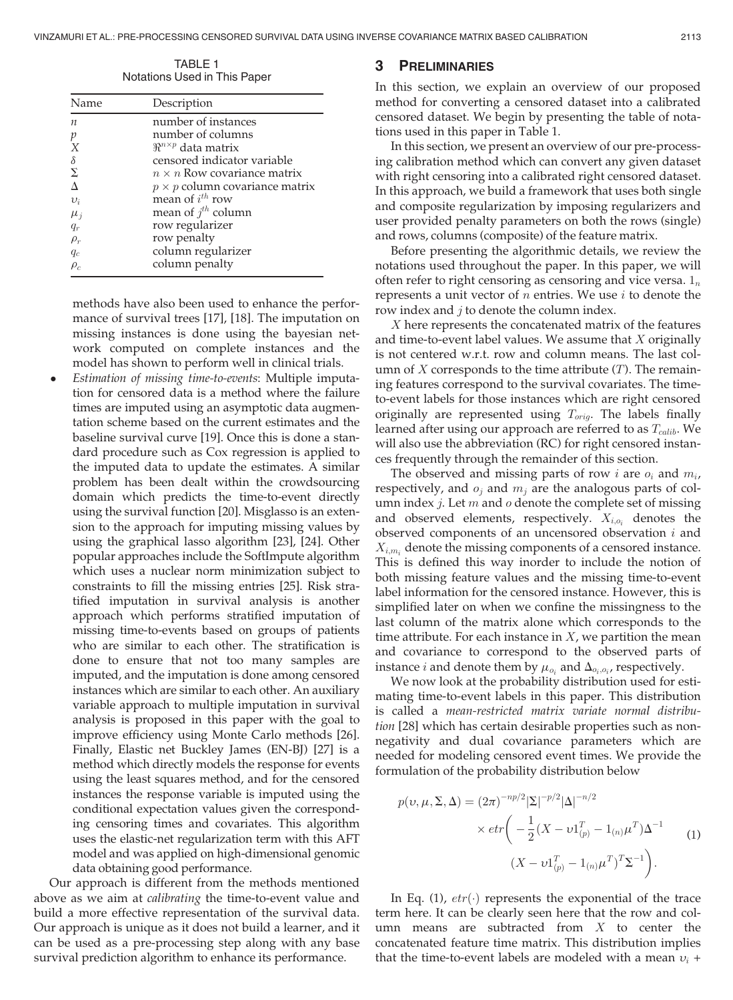| Name             | Description                           |  |  |  |
|------------------|---------------------------------------|--|--|--|
| п                | number of instances                   |  |  |  |
| $\boldsymbol{p}$ | number of columns                     |  |  |  |
| X                | $\Re^{n\times p}$ data matrix         |  |  |  |
| $\delta$         | censored indicator variable           |  |  |  |
| Σ                | $n \times n$ Row covariance matrix    |  |  |  |
| $\Delta$         | $p \times p$ column covariance matrix |  |  |  |
| $v_i$            | mean of $i^{th}$ row                  |  |  |  |
| $\mu_j$          | mean of $j^{th}$ column               |  |  |  |
| $q_r$            | row regularizer                       |  |  |  |
| $\rho_r$         | row penalty                           |  |  |  |
| $q_c$            | column regularizer                    |  |  |  |
| $\rho_c$         | column penalty                        |  |  |  |

TABLE 1 Notations Used in This Paper

methods have also been used to enhance the performance of survival trees [17], [18]. The imputation on missing instances is done using the bayesian network computed on complete instances and the model has shown to perform well in clinical trials.

 Estimation of missing time-to-events: Multiple imputation for censored data is a method where the failure times are imputed using an asymptotic data augmentation scheme based on the current estimates and the baseline survival curve [19]. Once this is done a standard procedure such as Cox regression is applied to the imputed data to update the estimates. A similar problem has been dealt within the crowdsourcing domain which predicts the time-to-event directly using the survival function [20]. Misglasso is an extension to the approach for imputing missing values by using the graphical lasso algorithm [23], [24]. Other popular approaches include the SoftImpute algorithm which uses a nuclear norm minimization subject to constraints to fill the missing entries [25]. Risk stratified imputation in survival analysis is another approach which performs stratified imputation of missing time-to-events based on groups of patients who are similar to each other. The stratification is done to ensure that not too many samples are imputed, and the imputation is done among censored instances which are similar to each other. An auxiliary variable approach to multiple imputation in survival analysis is proposed in this paper with the goal to improve efficiency using Monte Carlo methods [26]. Finally, Elastic net Buckley James (EN-BJ) [27] is a method which directly models the response for events using the least squares method, and for the censored instances the response variable is imputed using the conditional expectation values given the corresponding censoring times and covariates. This algorithm uses the elastic-net regularization term with this AFT model and was applied on high-dimensional genomic data obtaining good performance.

Our approach is different from the methods mentioned above as we aim at *calibrating* the time-to-event value and build a more effective representation of the survival data. Our approach is unique as it does not build a learner, and it can be used as a pre-processing step along with any base survival prediction algorithm to enhance its performance.

#### 3 PRELIMINARIES

In this section, we explain an overview of our proposed method for converting a censored dataset into a calibrated censored dataset. We begin by presenting the table of notations used in this paper in Table 1.

In this section, we present an overview of our pre-processing calibration method which can convert any given dataset with right censoring into a calibrated right censored dataset. In this approach, we build a framework that uses both single and composite regularization by imposing regularizers and user provided penalty parameters on both the rows (single) and rows, columns (composite) of the feature matrix.

Before presenting the algorithmic details, we review the notations used throughout the paper. In this paper, we will often refer to right censoring as censoring and vice versa.  $1<sub>n</sub>$ represents a unit vector of  $n$  entries. We use  $i$  to denote the row index and  $i$  to denote the column index.

 $X$  here represents the concatenated matrix of the features and time-to-event label values. We assume that  $X$  originally is not centered w.r.t. row and column means. The last column of  $X$  corresponds to the time attribute  $(T)$ . The remaining features correspond to the survival covariates. The timeto-event labels for those instances which are right censored originally are represented using  $T_{orig}$ . The labels finally learned after using our approach are referred to as  $T_{calib}$ . We will also use the abbreviation (RC) for right censored instances frequently through the remainder of this section.

The observed and missing parts of row  $i$  are  $o_i$  and  $m_i$ , respectively, and  $o_i$  and  $m_i$  are the analogous parts of column index *j*. Let *m* and *o* denote the complete set of missing and observed elements, respectively.  $X_{i,o_i}$  denotes the observed components of an uncensored observation  $i$  and  $X_{i,m_i}$  denote the missing components of a censored instance. This is defined this way inorder to include the notion of both missing feature values and the missing time-to-event label information for the censored instance. However, this is simplified later on when we confine the missingness to the last column of the matrix alone which corresponds to the time attribute. For each instance in  $X$ , we partition the mean and covariance to correspond to the observed parts of instance *i* and denote them by  $\mu_{o_i}$  and  $\Delta_{o_i,o_i}$ , respectively.

We now look at the probability distribution used for estimating time-to-event labels in this paper. This distribution is called a mean-restricted matrix variate normal distribution [28] which has certain desirable properties such as nonnegativity and dual covariance parameters which are needed for modeling censored event times. We provide the formulation of the probability distribution below

$$
p(\nu, \mu, \Sigma, \Delta) = (2\pi)^{-np/2} |\Sigma|^{-p/2} |\Delta|^{-n/2}
$$

$$
\times \text{etr}\left(-\frac{1}{2}(X - \nu 1_{(p)}^T - 1_{(n)}\mu^T)\Delta^{-1}\right)
$$

$$
(X - \nu 1_{(p)}^T - 1_{(n)}\mu^T)^T \Sigma^{-1}\right).
$$
(1)

In Eq. (1),  $etr(\cdot)$  represents the exponential of the trace term here. It can be clearly seen here that the row and column means are subtracted from  $X$  to center the concatenated feature time matrix. This distribution implies that the time-to-event labels are modeled with a mean  $v_i$  +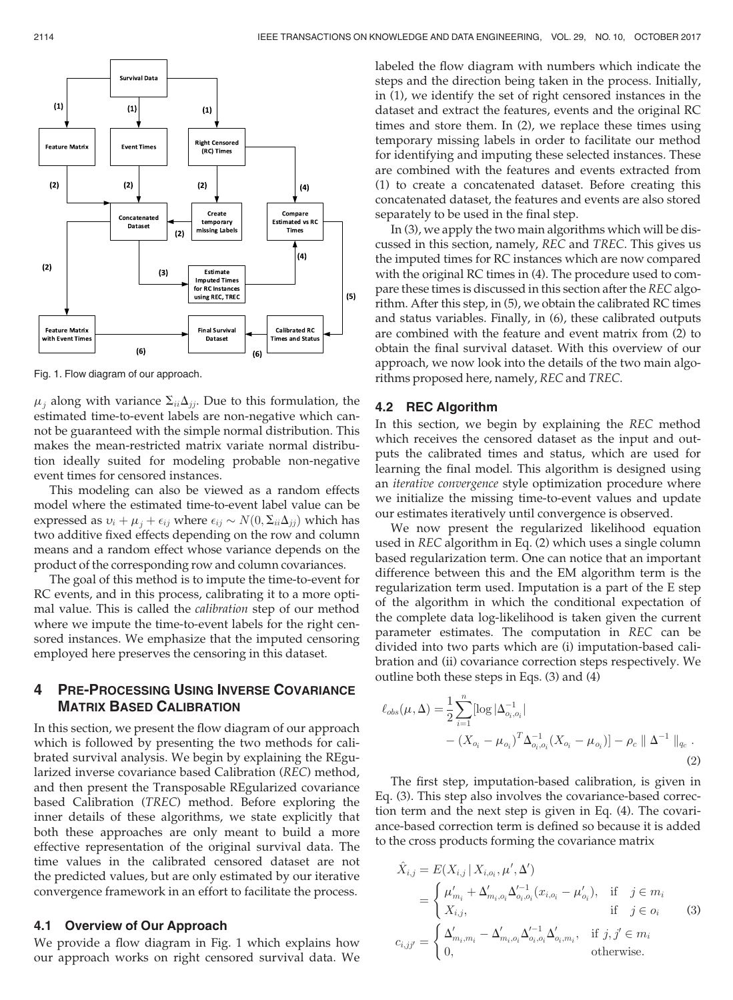

Fig. 1. Flow diagram of our approach.

 $\mu_j$  along with variance  $\Sigma_{ii}\Delta_{jj}$ . Due to this formulation, the estimated time-to-event labels are non-negative which can estimated time-to-event labels are non-negative which cannot be guaranteed with the simple normal distribution. This makes the mean-restricted matrix variate normal distribution ideally suited for modeling probable non-negative event times for censored instances.

This modeling can also be viewed as a random effects model where the estimated time-to-event label value can be expressed as  $v_i + \mu_j + \epsilon_{ij}$  where  $\epsilon_{ij} \sim N(0, \Sigma_{ii} \Delta_{jj})$  which has two additive fixed effects depending on the row and column two additive fixed effects depending on the row and column means and a random effect whose variance depends on the product of the corresponding row and column covariances.

The goal of this method is to impute the time-to-event for RC events, and in this process, calibrating it to a more optimal value. This is called the calibration step of our method where we impute the time-to-event labels for the right censored instances. We emphasize that the imputed censoring employed here preserves the censoring in this dataset.

# 4 PRE-PROCESSING USING INVERSE COVARIANCE MATRIX BASED CALIBRATION

In this section, we present the flow diagram of our approach which is followed by presenting the two methods for calibrated survival analysis. We begin by explaining the REgularized inverse covariance based Calibration (REC) method, and then present the Transposable REgularized covariance based Calibration (TREC) method. Before exploring the inner details of these algorithms, we state explicitly that both these approaches are only meant to build a more effective representation of the original survival data. The time values in the calibrated censored dataset are not the predicted values, but are only estimated by our iterative convergence framework in an effort to facilitate the process.

#### 4.1 Overview of Our Approach

We provide a flow diagram in Fig. 1 which explains how our approach works on right censored survival data. We labeled the flow diagram with numbers which indicate the steps and the direction being taken in the process. Initially, in (1), we identify the set of right censored instances in the dataset and extract the features, events and the original RC times and store them. In (2), we replace these times using temporary missing labels in order to facilitate our method for identifying and imputing these selected instances. These are combined with the features and events extracted from (1) to create a concatenated dataset. Before creating this concatenated dataset, the features and events are also stored separately to be used in the final step.

In (3), we apply the two main algorithms which will be discussed in this section, namely, REC and TREC. This gives us the imputed times for RC instances which are now compared with the original RC times in (4). The procedure used to compare these times is discussed in this section after the REC algorithm. After this step, in (5), we obtain the calibrated RC times and status variables. Finally, in (6), these calibrated outputs are combined with the feature and event matrix from (2) to obtain the final survival dataset. With this overview of our approach, we now look into the details of the two main algorithms proposed here, namely, REC and TREC.

#### 4.2 REC Algorithm

In this section, we begin by explaining the REC method which receives the censored dataset as the input and outputs the calibrated times and status, which are used for learning the final model. This algorithm is designed using an iterative convergence style optimization procedure where we initialize the missing time-to-event values and update our estimates iteratively until convergence is observed.

We now present the regularized likelihood equation used in REC algorithm in Eq. (2) which uses a single column based regularization term. One can notice that an important difference between this and the EM algorithm term is the regularization term used. Imputation is a part of the E step of the algorithm in which the conditional expectation of the complete data log-likelihood is taken given the current parameter estimates. The computation in REC can be divided into two parts which are (i) imputation-based calibration and (ii) covariance correction steps respectively. We outline both these steps in Eqs. (3) and (4)

$$
\ell_{obs}(\mu, \Delta) = \frac{1}{2} \sum_{i=1}^{n} [\log |\Delta_{o_i, o_i}^{-1}|
$$
  
 
$$
- (X_{o_i} - \mu_{o_i})^T \Delta_{o_i, o_i}^{-1} (X_{o_i} - \mu_{o_i})] - \rho_c ||\Delta^{-1}||_{q_c}.
$$
 (2)

The first step, imputation-based calibration, is given in Eq. (3). This step also involves the covariance-based correction term and the next step is given in Eq. (4). The covariance-based correction term is defined so because it is added to the cross products forming the covariance matrix

$$
\hat{X}_{i,j} = E(X_{i,j} | X_{i,o_i}, \mu', \Delta')
$$
\n
$$
= \begin{cases}\n\mu'_{m_i} + \Delta'_{m_i,o_i} \Delta'_{o_i,o_i} (x_{i,o_i} - \mu'_{o_i}), & \text{if } j \in m_i \\
X_{i,j}, & \text{if } j \in o_i\n\end{cases}
$$
\n
$$
c_{i,jj'} = \begin{cases}\n\Delta'_{m_i,m_i} - \Delta'_{m_i,o_i} \Delta'_{o_i,o_i} \Delta'_{o_i,m_i}, & \text{if } j, j' \in m_i \\
0, & \text{otherwise.} \n\end{cases}
$$
\n(3)

$$
0,
$$
\n
$$
0,
$$
\notherwise.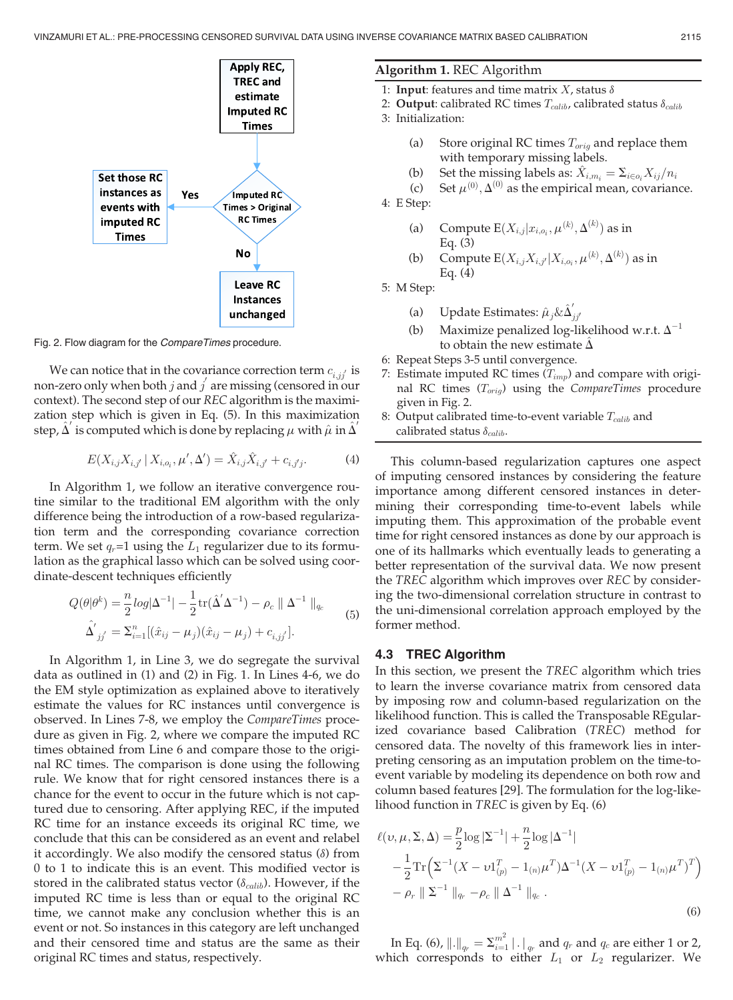

Fig. 2. Flow diagram for the CompareTimes procedure.

We can notice that in the covariance correction term  $c_{i,j'}$  is non-zero only when both  $j$  and  $j$  are missing (censored in our<br>context). The second step of our REC algorithm is the maximicontext). The second step of our REC algorithm is the maximization step which is given in Eq. (5). In this maximization step,  $\hat{\Delta}^{'}$  is computed which is done by replacing  $\mu$  with  $\hat{\mu}$  in  $\hat{\Delta}^{'}$ 

$$
E(X_{i,j}X_{i,j'} | X_{i,o_i}, \mu', \Delta') = \hat{X}_{i,j} \hat{X}_{i,j'} + c_{i,j'j}.
$$
 (4)

In Algorithm 1, we follow an iterative convergence routine similar to the traditional EM algorithm with the only difference being the introduction of a row-based regularization term and the corresponding covariance correction term. We set  $q_r$ =1 using the  $L_1$  regularizer due to its formulation as the graphical lasso which can be solved using coordinate-descent techniques efficiently

$$
Q(\theta|\theta^{k}) = \frac{n}{2} log|\Delta^{-1}| - \frac{1}{2} tr(\hat{\Delta}' \Delta^{-1}) - \rho_c \parallel \Delta^{-1} \parallel_{q_c}
$$
  

$$
\hat{\Delta'}_{jj'} = \sum_{i=1}^{n} [(\hat{x}_{ij} - \mu_j)(\hat{x}_{ij} - \mu_j) + c_{i,jj'}].
$$
 (5)

In Algorithm 1, in Line 3, we do segregate the survival data as outlined in (1) and (2) in Fig. 1. In Lines 4-6, we do the EM style optimization as explained above to iteratively estimate the values for RC instances until convergence is observed. In Lines 7-8, we employ the CompareTimes procedure as given in Fig. 2, where we compare the imputed RC times obtained from Line 6 and compare those to the original RC times. The comparison is done using the following rule. We know that for right censored instances there is a chance for the event to occur in the future which is not captured due to censoring. After applying REC, if the imputed RC time for an instance exceeds its original RC time, we conclude that this can be considered as an event and relabel it accordingly. We also modify the censored status  $(\delta)$  from 0 to 1 to indicate this is an event. This modified vector is stored in the calibrated status vector ( $\delta_{calib}$ ). However, if the imputed RC time is less than or equal to the original RC time, we cannot make any conclusion whether this is an event or not. So instances in this category are left unchanged and their censored time and status are the same as their original RC times and status, respectively.

# Algorithm 1. REC Algorithm

- 1: Input: features and time matrix X, status  $\delta$
- 2: Output: calibrated RC times  $T_{calib}$ , calibrated status  $\delta_{calib}$
- 3: Initialization:
	- (a) Store original RC times  $T_{orig}$  and replace them with temporary missing labels.
	- (b) Set the missing labels as:  $\ddot{X}_{i,m_i} = \sum_{i \in o_i} X_{ij}/n_i$ <br>(c) Set  $\mu^{(0)}$ ,  $\Delta^{(0)}$  as the empirical mean, covarian
	- (c) Set  $\mu^{(0)}, \Delta^{(0)}$  as the empirical mean, covariance.

4: E Step:

- (a) Compute  $E(X_{i,j}|x_{i,o_i}, \mu^{(k)}, \Delta^{(k)})$  as in Eq. (3)
- (b) Compute  $E(X_{i,j}X_{i,j'}|X_{i,o_i}, \mu^{(k)}, \Delta^{(k)})$  as in Eq. (4)

5: M Step:

- (a) Update Estimates:  $\hat{\mu}_j \& \Delta_{jj'}$ <br>(b) Maximize penalized log-li
- (b) Maximize penalized log-likelihood w.r.t.  $\Delta^{-1}$ to obtain the new estimate  $\hat{\Delta}$
- 6: Repeat Steps 3-5 until convergence.
- 7: Estimate imputed RC times  $(T_{imp})$  and compare with original RC times  $(T_{\text{orig}})$  using the CompareTimes procedure given in Fig. 2.
- 8: Output calibrated time-to-event variable  $T_{calib}$  and calibrated status  $\delta_{calib}$ .

This column-based regularization captures one aspect of imputing censored instances by considering the feature importance among different censored instances in determining their corresponding time-to-event labels while imputing them. This approximation of the probable event time for right censored instances as done by our approach is one of its hallmarks which eventually leads to generating a better representation of the survival data. We now present the TREC algorithm which improves over REC by considering the two-dimensional correlation structure in contrast to the uni-dimensional correlation approach employed by the former method.

# 4.3 TREC Algorithm

In this section, we present the TREC algorithm which tries to learn the inverse covariance matrix from censored data by imposing row and column-based regularization on the likelihood function. This is called the Transposable REgularized covariance based Calibration (TREC) method for censored data. The novelty of this framework lies in interpreting censoring as an imputation problem on the time-toevent variable by modeling its dependence on both row and column based features [29]. The formulation for the log-likelihood function in TREC is given by Eq. (6)

$$
\ell(\nu, \mu, \Sigma, \Delta) = \frac{p}{2} \log |\Sigma^{-1}| + \frac{n}{2} \log |\Delta^{-1}|
$$
  
 
$$
- \frac{1}{2} \text{Tr} \left( \Sigma^{-1} (X - \nu 1_{(p)}^T - 1_{(n)} \mu^T) \Delta^{-1} (X - \nu 1_{(p)}^T - 1_{(n)} \mu^T)^T \right)
$$
  
 
$$
- \rho_r \| \Sigma^{-1} \|_{q_r} - \rho_c \| \Delta^{-1} \|_{q_c} .
$$
 (6)

In Eq. (6),  $\left\| \cdot \right\|_{q_r} = \sum_{i=1}^{m^2} \left| \cdot \right|_{q_r}$  and  $q_r$  and  $q_c$  are either 1 or 2, which corresponds to either  $L_1$  or  $L_2$  regularizer. We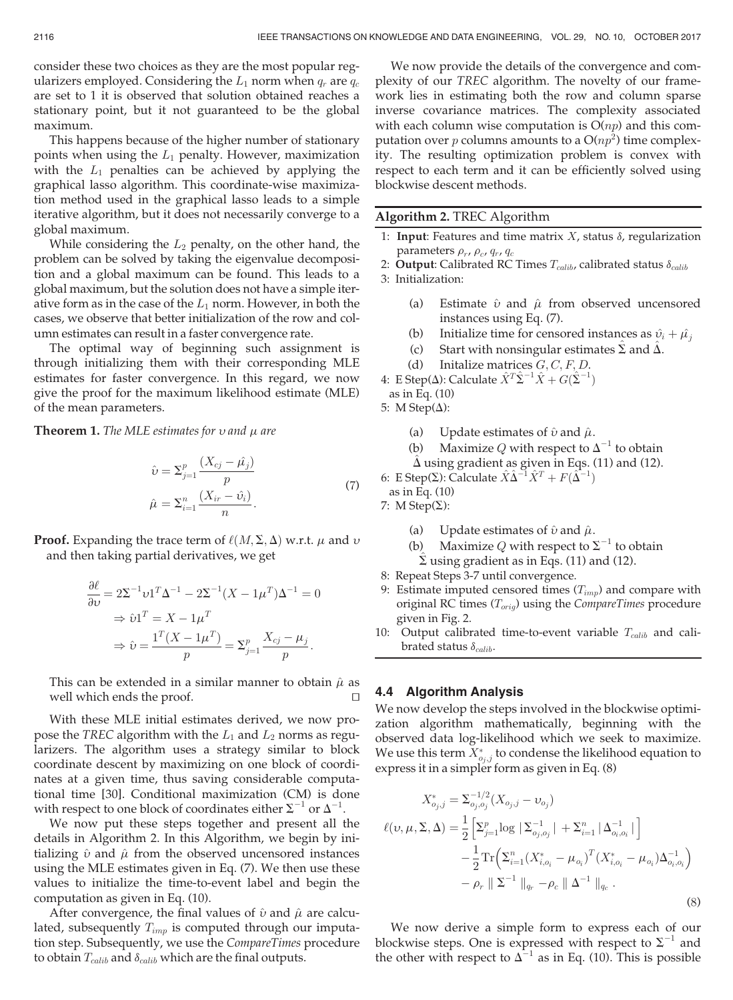consider these two choices as they are the most popular regularizers employed. Considering the  $L_1$  norm when  $q_r$  are  $q_c$ are set to 1 it is observed that solution obtained reaches a stationary point, but it not guaranteed to be the global maximum.

This happens because of the higher number of stationary points when using the  $L_1$  penalty. However, maximization with the  $L_1$  penalties can be achieved by applying the graphical lasso algorithm. This coordinate-wise maximization method used in the graphical lasso leads to a simple iterative algorithm, but it does not necessarily converge to a global maximum.

While considering the  $L_2$  penalty, on the other hand, the problem can be solved by taking the eigenvalue decomposition and a global maximum can be found. This leads to a global maximum, but the solution does not have a simple iterative form as in the case of the  $L_1$  norm. However, in both the cases, we observe that better initialization of the row and column estimates can result in a faster convergence rate.

The optimal way of beginning such assignment is through initializing them with their corresponding MLE estimates for faster convergence. In this regard, we now give the proof for the maximum likelihood estimate (MLE) of the mean parameters.

**Theorem 1.** The MLE estimates for  $v$  and  $\mu$  are

$$
\hat{\nu} = \sum_{j=1}^{p} \frac{(X_{cj} - \hat{\mu}_j)}{p}
$$
\n
$$
\hat{\mu} = \sum_{i=1}^{n} \frac{(X_{ir} - \hat{\nu}_i)}{n}.
$$
\n(7)

**Proof.** Expanding the trace term of  $\ell(M, \Sigma, \Delta)$  w.r.t.  $\mu$  and  $\nu$ and then taking partial derivatives, we get

$$
\frac{\partial \ell}{\partial \nu} = 2\Sigma^{-1} \nu 1^T \Delta^{-1} - 2\Sigma^{-1} (X - 1\mu^T) \Delta^{-1} = 0
$$
  
\n
$$
\Rightarrow \hat{\nu} 1^T = X - 1\mu^T
$$
  
\n
$$
\Rightarrow \hat{\nu} = \frac{1^T (X - 1\mu^T)}{p} = \Sigma_{j=1}^p \frac{X_{cj} - \mu_j}{p}.
$$

This can be extended in a similar manner to obtain  $\hat{\mu}$  as well which ends the proof.  $\Box$ 

With these MLE initial estimates derived, we now propose the TREC algorithm with the  $L_1$  and  $L_2$  norms as regularizers. The algorithm uses a strategy similar to block coordinate descent by maximizing on one block of coordinates at a given time, thus saving considerable computational time [30]. Conditional maximization (CM) is done with respect to one block of coordinates either  $\Sigma^{-1}$  or  $\Delta^{-1}$ .

We now put these steps together and present all the details in Algorithm 2. In this Algorithm, we begin by initializing  $\hat{v}$  and  $\hat{\mu}$  from the observed uncensored instances using the MLE estimates given in Eq. (7). We then use these values to initialize the time-to-event label and begin the computation as given in Eq. (10).

After convergence, the final values of  $\hat{v}$  and  $\hat{\mu}$  are calculated, subsequently  $T_{imp}$  is computed through our imputation step. Subsequently, we use the CompareTimes procedure to obtain  $T_{calib}$  and  $\delta_{calib}$  which are the final outputs.

We now provide the details of the convergence and complexity of our TREC algorithm. The novelty of our framework lies in estimating both the row and column sparse inverse covariance matrices. The complexity associated with each column wise computation is  $O(np)$  and this computation over *p* columns amounts to a  $O(np^2)$  time complexity. The resulting optimization problem is convex with respect to each term and it can be efficiently solved using blockwise descent methods.

#### Algorithm 2. TREC Algorithm

- 1: Input: Features and time matrix  $X$ , status  $\delta$ , regularization parameters  $\rho_r$ ,  $\rho_c$ ,  $q_r$ ,  $q_c$
- 2: Output: Calibrated RC Times  $T_{calib}$ , calibrated status  $\delta_{calib}$

3: Initialization:

- (a) Estimate  $\hat{v}$  and  $\hat{\mu}$  from observed uncensored instances using Eq. (7).
- (b) Initialize time for censored instances as  $\hat{v}_i + \hat{\mu}_j$ <br>(c) Start with nonsingular estimates  $\hat{\Sigma}$  and  $\hat{\Delta}$ .
- Start with nonsingular estimates  $\Sigma$  and  $\Delta$ .
- (d) Initalize matrices  $G, C, F, D$ .<br>Step(A): Calculate  $\hat{X}^T \hat{\Sigma}^{-1} \hat{X} + G(\hat{\Sigma}^{-1})$
- 4: E Step( $\Delta$ ): Calculate  $\hat{X}^T\hat{\Sigma}^{-1}\hat{X} + G(\hat{\Sigma}^{-1})$

as in Eq. (10)

- 5: M Step $(\Delta)$ :
	- (a) Update estimates of  $\hat{v}$  and  $\hat{\mu}$ .
	- (b) Maximize Q with respect to  $\Delta^{-1}$  to obtain  $\Delta$  using gradient as given in Eqs. (11) and (12).

6: E Step( $\Sigma$ ): Calculate  $\hat{X}\hat{\Delta}^{-1}\hat{X}^T + F(\hat{\Delta}^{-1})$ <br>as in Eq. (10)

as in Eq. (10)

7: M Step $(\Sigma)$ :

- (a) Update estimates of  $\hat{v}$  and  $\hat{\mu}$ .
- (b) Maximize Q with respect to  $\Sigma^{-1}$  to obtain
- $\hat{\Sigma}$  using gradient as in Eqs. (11) and (12).
- 8: Repeat Steps 3-7 until convergence.
- 9: Estimate imputed censored times  $(T_{imp})$  and compare with original RC times  $(T_{orig})$  using the CompareTimes procedure given in Fig. 2.
- 10: Output calibrated time-to-event variable  $T_{calib}$  and calibrated status  $\delta_{calib}$ .

# 4.4 Algorithm Analysis

We now develop the steps involved in the blockwise optimization algorithm mathematically, beginning with the observed data log-likelihood which we seek to maximize. We use this term  $X^*_{oj,j}$  to condense the likelihood equation to<br>express it in a simpler form as given in Eq. (8) express it in a simpler form as given in Eq. (8)

$$
X_{o_j,j}^* = \sum_{o_j,o_j}^{-1/2} (X_{o_j,j} - v_{o_j})
$$
  
\n
$$
\ell(v, \mu, \Sigma, \Delta) = \frac{1}{2} \left[ \sum_{j=1}^p \log |\Sigma_{o_j,o_j}^{-1}| + \sum_{i=1}^n |\Delta_{o_i,o_i}^{-1}| \right]
$$
  
\n
$$
- \frac{1}{2} \text{Tr} \left( \sum_{i=1}^n (X_{i,o_i}^* - \mu_{o_i})^T (X_{i,o_i}^* - \mu_{o_i}) \Delta_{o_i,o_i}^{-1} \right)
$$
  
\n
$$
- \rho_r || \Sigma^{-1} ||_{q_r} - \rho_c || \Delta^{-1} ||_{q_c} .
$$
\n(8)

We now derive a simple form to express each of our blockwise steps. One is expressed with respect to  $\Sigma^{-1}$  and the other with respect to  $\Delta^{-1}$  as in Eq. (10). This is possible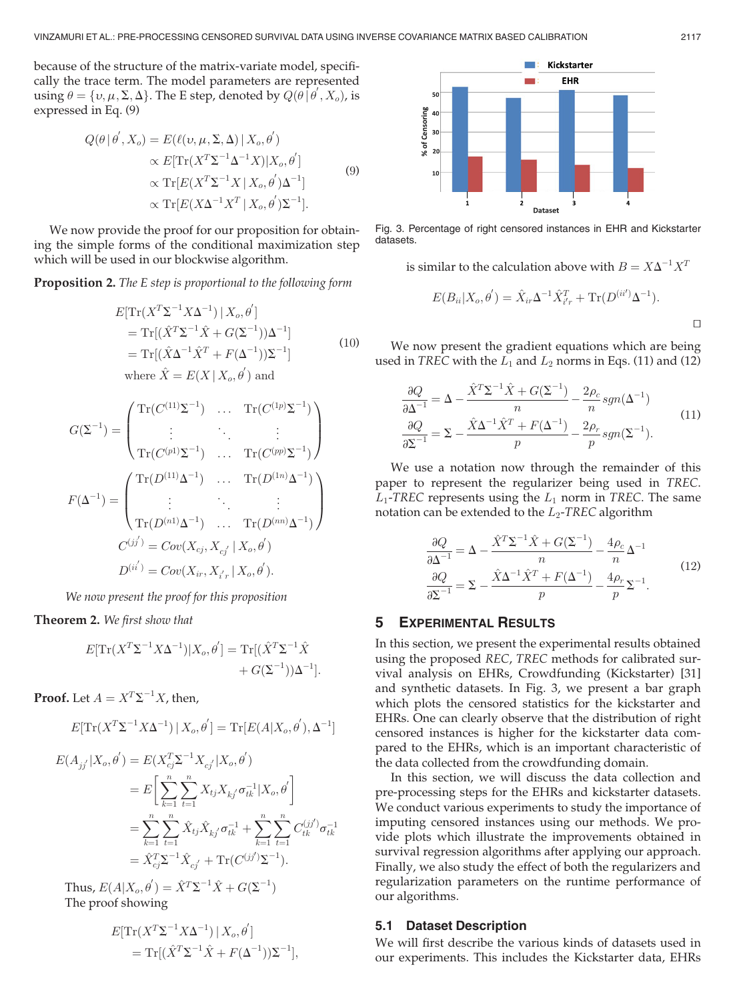because of the structure of the matrix-variate model, specifically the trace term. The model parameters are represented using  $\theta = \{v, \mu, \Sigma, \Delta\}$ . The E step, denoted by  $Q(\theta | \theta', X_o)$ , is expressed in Eq. (9) expressed in Eq. (9)

$$
Q(\theta | \theta', X_o) = E(\ell(\nu, \mu, \Sigma, \Delta) | X_o, \theta')
$$
  
\n
$$
\propto E[\text{Tr}(X^T \Sigma^{-1} \Delta^{-1} X) | X_o, \theta']
$$
  
\n
$$
\propto \text{Tr}[E(X^T \Sigma^{-1} X | X_o, \theta') \Delta^{-1}]
$$
  
\n
$$
\propto \text{Tr}[E(X \Delta^{-1} X^T | X_o, \theta') \Sigma^{-1}].
$$
\n(9)

We now provide the proof for our proposition for obtaining the simple forms of the conditional maximization step which will be used in our blockwise algorithm.

Proposition 2. The E step is proportional to the following form

$$
E[\operatorname{Tr}(X^T \Sigma^{-1} X \Delta^{-1}) | X_o, \theta']
$$
  
= 
$$
\operatorname{Tr}[(\hat{X}^T \Sigma^{-1} \hat{X} + G(\Sigma^{-1})) \Delta^{-1}]
$$
  
= 
$$
\operatorname{Tr}[(\hat{X} \Delta^{-1} \hat{X}^T + F(\Delta^{-1})) \Sigma^{-1}]
$$
  
where 
$$
\hat{X} = E(X | X_o, \theta')
$$
 and

$$
G(\Sigma^{-1}) = \begin{pmatrix} \operatorname{Tr}(C^{(11)}\Sigma^{-1}) & \dots & \operatorname{Tr}(C^{(1p)}\Sigma^{-1}) \\ \vdots & \ddots & \vdots \\ \operatorname{Tr}(C^{(p1)}\Sigma^{-1}) & \dots & \operatorname{Tr}(C^{(pp)}\Sigma^{-1}) \end{pmatrix}
$$

$$
F(\Delta^{-1}) = \begin{pmatrix} \operatorname{Tr}(D^{(11)}\Delta^{-1}) & \dots & \operatorname{Tr}(D^{(1n)}\Delta^{-1}) \\ \vdots & \ddots & \vdots \\ \operatorname{Tr}(D^{(n1)}\Delta^{-1}) & \dots & \operatorname{Tr}(D^{(nn)}\Delta^{-1}) \end{pmatrix}
$$

$$
C^{(jj')} = Cov(X_{cj}, X_{cj'} | X_o, \theta')
$$

$$
D^{(ii')} = Cov(X_{ir}, X_{i'r} | X_o, \theta').
$$

We now present the proof for this proposition

Theorem 2. We first show that

$$
E[\operatorname{Tr}(X^T \Sigma^{-1} X \Delta^{-1}) | X_o, \theta'] = \operatorname{Tr}[(\hat{X}^T \Sigma^{-1} \hat{X} + G(\Sigma^{-1})) \Delta^{-1}].
$$

**Proof.** Let  $A = X^T \Sigma^{-1} X$ , then,

$$
E[\operatorname{Tr}(X^T \Sigma^{-1} X \Delta^{-1}) | X_o, \theta'] = \operatorname{Tr}[E(A | X_o, \theta'), \Delta^{-1}]
$$

$$
E(A_{jj'}|X_o, \theta') = E(X_{cj}^T \Sigma^{-1} X_{cj'}|X_o, \theta')
$$
  
= 
$$
E\left[\sum_{k=1}^n \sum_{t=1}^n X_{tj} X_{kj'} \sigma_{tk}^{-1} |X_o, \theta'\right]
$$
  
= 
$$
\sum_{k=1}^n \sum_{t=1}^n \hat{X}_{tj} \hat{X}_{kj'} \sigma_{tk}^{-1} + \sum_{k=1}^n \sum_{t=1}^n C_{tk}^{(jj')} \sigma_{tk}^{-1}
$$
  
= 
$$
\hat{X}_{cj}^T \Sigma^{-1} \hat{X}_{cj'} + \text{Tr}(C^{(jj')} \Sigma^{-1}).
$$

Thus,  $E(A|X_o, \theta') = \hat{X}^T \Sigma^{-1} \hat{X} + G(\Sigma^{-1})$ <br>The proof showing The proof showing

$$
E[\operatorname{Tr}(X^T \Sigma^{-1} X \Delta^{-1}) | X_o, \theta']
$$
  
= 
$$
\operatorname{Tr}[(\hat{X}^T \Sigma^{-1} \hat{X} + F(\Delta^{-1})) \Sigma^{-1}],
$$



Fig. 3. Percentage of right censored instances in EHR and Kickstarter datasets.

is similar to the calculation above with  $B = X\Delta^{-1}X^T$ 

$$
E(B_{ii}|X_o, \theta') = \hat{X}_{ir} \Delta^{-1} \hat{X}_{i'r}^T + \text{Tr}(D^{(ii')}\Delta^{-1}).
$$

We now present the gradient equations which are being used in TREC with the  $L_1$  and  $L_2$  norms in Eqs. (11) and (12)

$$
\frac{\partial Q}{\partial \Delta^{-1}} = \Delta - \frac{\hat{X}^T \Sigma^{-1} \hat{X} + G(\Sigma^{-1})}{n} - \frac{2\rho_c}{n} sgn(\Delta^{-1})
$$
  
\n
$$
\frac{\partial Q}{\partial \Sigma^{-1}} = \Sigma - \frac{\hat{X} \Delta^{-1} \hat{X}^T + F(\Delta^{-1})}{p} - \frac{2\rho_r}{p} sgn(\Sigma^{-1}).
$$
\n(11)

We use a notation now through the remainder of this paper to represent the regularizer being used in TREC.  $L_1$ -TREC represents using the  $L_1$  norm in TREC. The same notation can be extended to the  $L_2$ -TREC algorithm

$$
\frac{\partial Q}{\partial \Delta^{-1}} = \Delta - \frac{\hat{X}^T \Sigma^{-1} \hat{X} + G(\Sigma^{-1})}{n} - \frac{4\rho_c}{n} \Delta^{-1}
$$
\n
$$
\frac{\partial Q}{\partial \Sigma^{-1}} = \Sigma - \frac{\hat{X} \Delta^{-1} \hat{X}^T + F(\Delta^{-1})}{p} - \frac{4\rho_r}{p} \Sigma^{-1}.
$$
\n(12)

# 5 EXPERIMENTAL RESULTS

In this section, we present the experimental results obtained using the proposed REC, TREC methods for calibrated survival analysis on EHRs, Crowdfunding (Kickstarter) [31] and synthetic datasets. In Fig. 3, we present a bar graph which plots the censored statistics for the kickstarter and EHRs. One can clearly observe that the distribution of right censored instances is higher for the kickstarter data compared to the EHRs, which is an important characteristic of the data collected from the crowdfunding domain.

In this section, we will discuss the data collection and pre-processing steps for the EHRs and kickstarter datasets. We conduct various experiments to study the importance of imputing censored instances using our methods. We provide plots which illustrate the improvements obtained in survival regression algorithms after applying our approach. Finally, we also study the effect of both the regularizers and regularization parameters on the runtime performance of our algorithms.

#### 5.1 Dataset Description

We will first describe the various kinds of datasets used in our experiments. This includes the Kickstarter data, EHRs

 $\Box$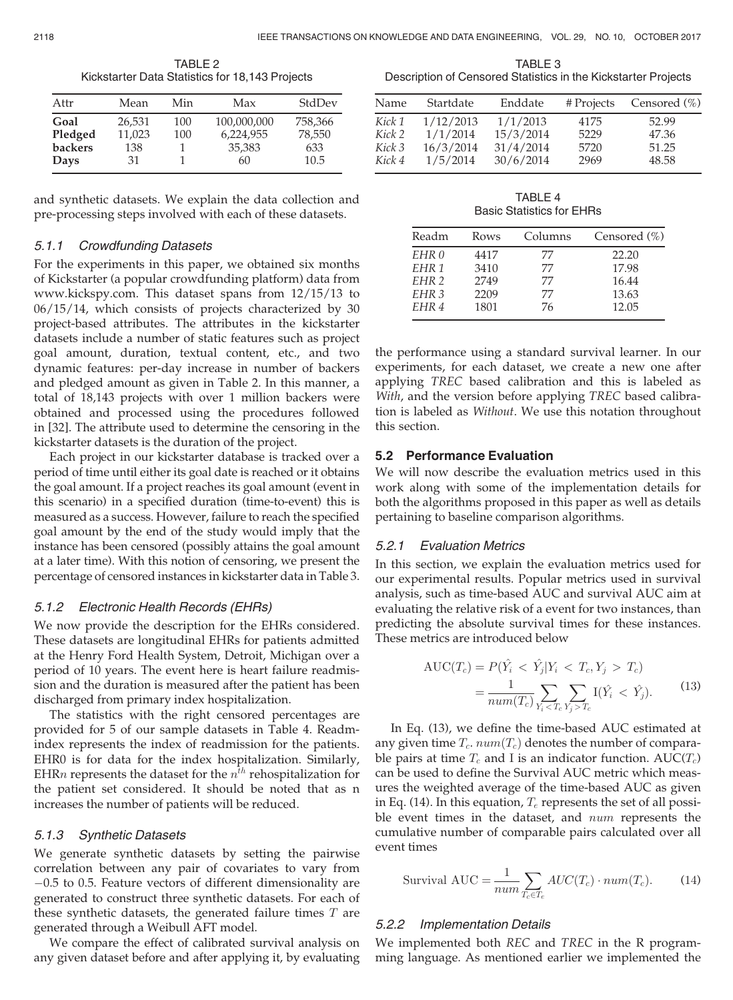TABLE 2 Kickstarter Data Statistics for 18,143 Projects

| Attr                               | Mean                          | Min        | Max                                      | StdDev                           |
|------------------------------------|-------------------------------|------------|------------------------------------------|----------------------------------|
| Goal<br>Pledged<br>backers<br>Days | 26,531<br>11.023<br>138<br>31 | 100<br>100 | 100,000,000<br>6,224,955<br>35,383<br>60 | 758,366<br>78,550<br>633<br>10.5 |

and synthetic datasets. We explain the data collection and pre-processing steps involved with each of these datasets.

# 5.1.1 Crowdfunding Datasets

For the experiments in this paper, we obtained six months of Kickstarter (a popular crowdfunding platform) data from www.kickspy.com. This dataset spans from 12/15/13 to 06/15/14, which consists of projects characterized by 30 project-based attributes. The attributes in the kickstarter datasets include a number of static features such as project goal amount, duration, textual content, etc., and two dynamic features: per-day increase in number of backers and pledged amount as given in Table 2. In this manner, a total of 18,143 projects with over 1 million backers were obtained and processed using the procedures followed in [32]. The attribute used to determine the censoring in the kickstarter datasets is the duration of the project.

Each project in our kickstarter database is tracked over a period of time until either its goal date is reached or it obtains the goal amount. If a project reaches its goal amount (event in this scenario) in a specified duration (time-to-event) this is measured as a success. However, failure to reach the specified goal amount by the end of the study would imply that the instance has been censored (possibly attains the goal amount at a later time). With this notion of censoring, we present the percentage of censored instances in kickstarter data in Table 3.

# 5.1.2 Electronic Health Records (EHRs)

We now provide the description for the EHRs considered. These datasets are longitudinal EHRs for patients admitted at the Henry Ford Health System, Detroit, Michigan over a period of 10 years. The event here is heart failure readmission and the duration is measured after the patient has been discharged from primary index hospitalization.

The statistics with the right censored percentages are provided for 5 of our sample datasets in Table 4. Readmindex represents the index of readmission for the patients. EHR0 is for data for the index hospitalization. Similarly, EHRn represents the dataset for the  $n<sup>th</sup>$  rehospitalization for the patient set considered. It should be noted that as n increases the number of patients will be reduced.

# 5.1.3 Synthetic Datasets

We generate synthetic datasets by setting the pairwise correlation between any pair of covariates to vary from  $-0.5$  to 0.5. Feature vectors of different dimensionality are generated to construct three synthetic datasets. For each of these synthetic datasets, the generated failure times  $T$  are generated through a Weibull AFT model.

We compare the effect of calibrated survival analysis on any given dataset before and after applying it, by evaluating

TABLE 3 Description of Censored Statistics in the Kickstarter Projects

| Name   | Startdate | Enddate   | # Projects | Censored $(\%)$ |
|--------|-----------|-----------|------------|-----------------|
| Kick 1 | 1/12/2013 | 1/1/2013  | 4175       | 52.99           |
| Kick 2 | 1/1/2014  | 15/3/2014 | 5229       | 47.36           |
| Kick 3 | 16/3/2014 | 31/4/2014 | 5720       | 51.25           |
| Kick 4 | 1/5/2014  | 30/6/2014 | 2969       | 48.58           |

TABLE 4 Basic Statistics for EHRs

| Readm            | Rows | Columns | Censored $(\%)$ |
|------------------|------|---------|-----------------|
| EHR 0            | 4417 | 77      | 22.20           |
| FHR <sub>1</sub> | 3410 | 77      | 17.98           |
| EHR <sub>2</sub> | 2749 | 77      | 16.44           |
| FHR <sub>3</sub> | 2209 | 77      | 13.63           |
| FHR4             | 1801 | 76      | 12.05           |

the performance using a standard survival learner. In our experiments, for each dataset, we create a new one after applying TREC based calibration and this is labeled as With, and the version before applying TREC based calibration is labeled as Without. We use this notation throughout this section.

#### 5.2 Performance Evaluation

We will now describe the evaluation metrics used in this work along with some of the implementation details for both the algorithms proposed in this paper as well as details pertaining to baseline comparison algorithms.

#### 5.2.1 Evaluation Metrics

In this section, we explain the evaluation metrics used for our experimental results. Popular metrics used in survival analysis, such as time-based AUC and survival AUC aim at evaluating the relative risk of a event for two instances, than predicting the absolute survival times for these instances. These metrics are introduced below

$$
AUC(T_c) = P(\hat{Y}_i < \hat{Y}_j | Y_i < T_c, Y_j > T_c) \\
= \frac{1}{num(T_c)} \sum_{Y_i < T_c} \sum_{Y_j > T_c} I(\hat{Y}_i < \hat{Y}_j). \tag{13}
$$

In Eq. (13), we define the time-based AUC estimated at any given time  $T_c$ .  $num(T_c)$  denotes the number of comparable pairs at time  $T_c$  and I is an indicator function.  $AUC(T_c)$ can be used to define the Survival AUC metric which measures the weighted average of the time-based AUC as given in Eq. (14). In this equation,  $T_e$  represents the set of all possible event times in the dataset, and num represents the cumulative number of comparable pairs calculated over all event times

$$
\text{Survival AUC} = \frac{1}{num} \sum_{T_c \in T_c} AUC(T_c) \cdot num(T_c). \tag{14}
$$

#### 5.2.2 Implementation Details

We implemented both REC and TREC in the R programming language. As mentioned earlier we implemented the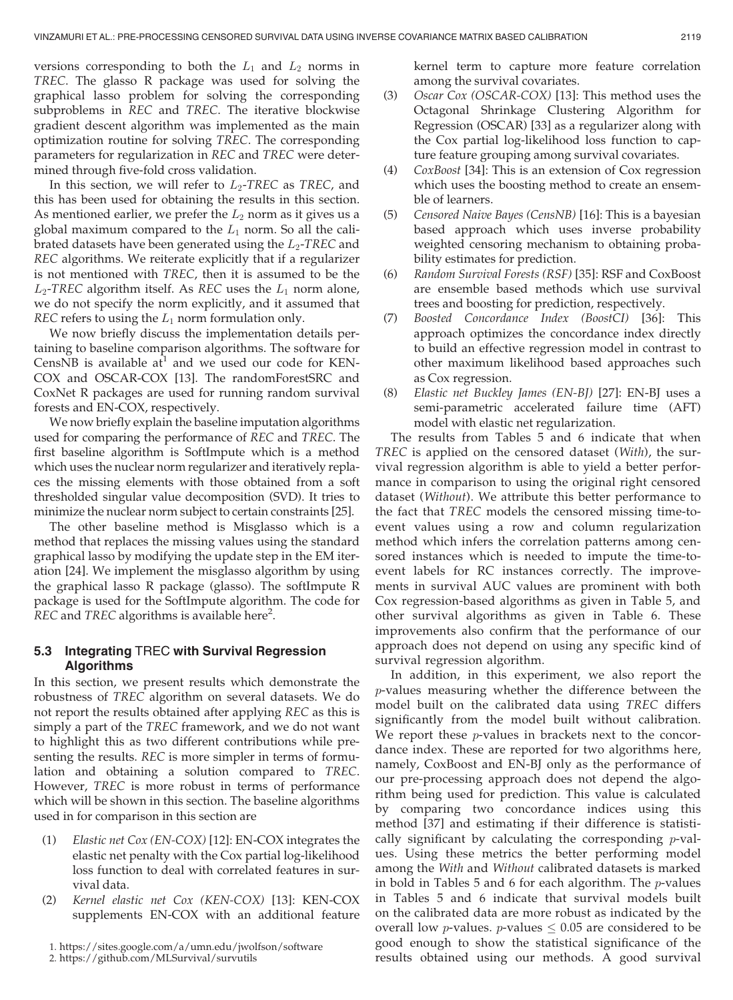versions corresponding to both the  $L_1$  and  $L_2$  norms in TREC. The glasso R package was used for solving the graphical lasso problem for solving the corresponding subproblems in REC and TREC. The iterative blockwise gradient descent algorithm was implemented as the main optimization routine for solving TREC. The corresponding parameters for regularization in REC and TREC were determined through five-fold cross validation.

In this section, we will refer to  $L_2$ -TREC as TREC, and this has been used for obtaining the results in this section. As mentioned earlier, we prefer the  $L_2$  norm as it gives us a global maximum compared to the  $L_1$  norm. So all the calibrated datasets have been generated using the  $L_2$ -TREC and REC algorithms. We reiterate explicitly that if a regularizer is not mentioned with TREC, then it is assumed to be the  $L_2$ -TREC algorithm itself. As REC uses the  $L_1$  norm alone, we do not specify the norm explicitly, and it assumed that REC refers to using the  $L_1$  norm formulation only.

We now briefly discuss the implementation details pertaining to baseline comparison algorithms. The software for CensNB is available  $at^1$  and we used our code for KEN-COX and OSCAR-COX [13]. The randomForestSRC and CoxNet R packages are used for running random survival forests and EN-COX, respectively.

We now briefly explain the baseline imputation algorithms used for comparing the performance of REC and TREC. The first baseline algorithm is SoftImpute which is a method which uses the nuclear norm regularizer and iteratively replaces the missing elements with those obtained from a soft thresholded singular value decomposition (SVD). It tries to minimize the nuclear norm subject to certain constraints [25].

The other baseline method is Misglasso which is a method that replaces the missing values using the standard graphical lasso by modifying the update step in the EM iteration [24]. We implement the misglasso algorithm by using the graphical lasso R package (glasso). The softImpute R package is used for the SoftImpute algorithm. The code for REC and TREC algorithms is available here<sup>2</sup>.

# 5.3 Integrating TREC with Survival Regression Algorithms

In this section, we present results which demonstrate the robustness of TREC algorithm on several datasets. We do not report the results obtained after applying REC as this is simply a part of the TREC framework, and we do not want to highlight this as two different contributions while presenting the results. REC is more simpler in terms of formulation and obtaining a solution compared to TREC. However, TREC is more robust in terms of performance which will be shown in this section. The baseline algorithms used in for comparison in this section are

- (1) Elastic net Cox (EN-COX) [12]: EN-COX integrates the elastic net penalty with the Cox partial log-likelihood loss function to deal with correlated features in survival data.
- (2) Kernel elastic net Cox (KEN-COX) [13]: KEN-COX supplements EN-COX with an additional feature

1. https://sites.google.com/a/umn.edu/jwolfson/software

2. https://github.com/MLSurvival/survutils

kernel term to capture more feature correlation among the survival covariates.

- (3) Oscar Cox (OSCAR-COX) [13]: This method uses the Octagonal Shrinkage Clustering Algorithm for Regression (OSCAR) [33] as a regularizer along with the Cox partial log-likelihood loss function to capture feature grouping among survival covariates.
- (4) CoxBoost [34]: This is an extension of Cox regression which uses the boosting method to create an ensemble of learners.
- (5) Censored Naive Bayes (CensNB) [16]: This is a bayesian based approach which uses inverse probability weighted censoring mechanism to obtaining probability estimates for prediction.
- (6) Random Survival Forests (RSF) [35]: RSF and CoxBoost are ensemble based methods which use survival trees and boosting for prediction, respectively.
- (7) Boosted Concordance Index (BoostCI) [36]: This approach optimizes the concordance index directly to build an effective regression model in contrast to other maximum likelihood based approaches such as Cox regression.
- (8) Elastic net Buckley James (EN-BJ) [27]: EN-BJ uses a semi-parametric accelerated failure time (AFT) model with elastic net regularization.

The results from Tables 5 and 6 indicate that when TREC is applied on the censored dataset (With), the survival regression algorithm is able to yield a better performance in comparison to using the original right censored dataset (Without). We attribute this better performance to the fact that TREC models the censored missing time-toevent values using a row and column regularization method which infers the correlation patterns among censored instances which is needed to impute the time-toevent labels for RC instances correctly. The improvements in survival AUC values are prominent with both Cox regression-based algorithms as given in Table 5, and other survival algorithms as given in Table 6. These improvements also confirm that the performance of our approach does not depend on using any specific kind of survival regression algorithm.

In addition, in this experiment, we also report the p-values measuring whether the difference between the model built on the calibrated data using TREC differs significantly from the model built without calibration. We report these *p*-values in brackets next to the concordance index. These are reported for two algorithms here, namely, CoxBoost and EN-BJ only as the performance of our pre-processing approach does not depend the algorithm being used for prediction. This value is calculated by comparing two concordance indices using this method [37] and estimating if their difference is statistically significant by calculating the corresponding  $p$ -values. Using these metrics the better performing model among the With and Without calibrated datasets is marked in bold in Tables 5 and 6 for each algorithm. The  $p$ -values in Tables 5 and 6 indicate that survival models built on the calibrated data are more robust as indicated by the overall low *p*-values. *p*-values  $\leq 0.05$  are considered to be good enough to show the statistical significance of the good enough to show the statistical significance of the results obtained using our methods. A good survival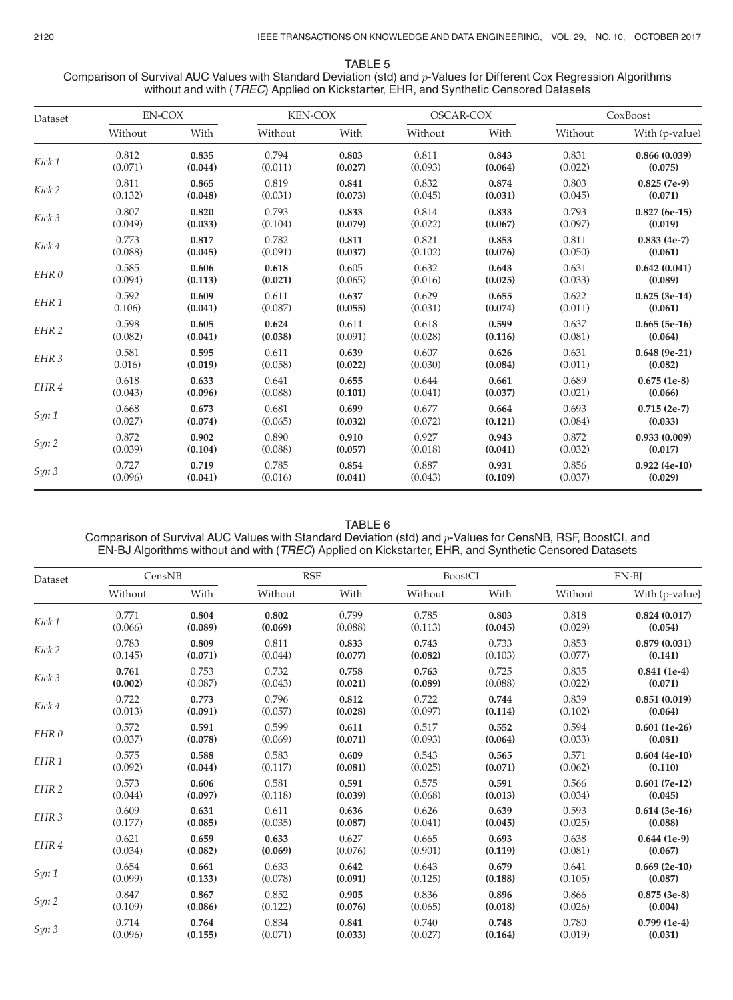#### TABLE 5 Comparison of Survival AUC Values with Standard Deviation (std) and p-Values for Different Cox Regression Algorithms without and with (TREC) Applied on Kickstarter, EHR, and Synthetic Censored Datasets

| Dataset          | EN-COX  |         | <b>KEN-COX</b> |         | OSCAR-COX |         | CoxBoost |                |
|------------------|---------|---------|----------------|---------|-----------|---------|----------|----------------|
|                  | Without | With    | Without        | With    | Without   | With    | Without  | With (p-value) |
| Kick 1           | 0.812   | 0.835   | 0.794          | 0.803   | 0.811     | 0.843   | 0.831    | 0.866(0.039)   |
|                  | (0.071) | (0.044) | (0.011)        | (0.027) | (0.093)   | (0.064) | (0.022)  | (0.075)        |
| Kick 2           | 0.811   | 0.865   | 0.819          | 0.841   | 0.832     | 0.874   | 0.803    | $0.825(7e-9)$  |
|                  | (0.132) | (0.048) | (0.031)        | (0.073) | (0.045)   | (0.031) | (0.045)  | (0.071)        |
| Kick 3           | 0.807   | 0.820   | 0.793          | 0.833   | 0.814     | 0.833   | 0.793    | $0.827(6e-15)$ |
|                  | (0.049) | (0.033) | (0.104)        | (0.079) | (0.022)   | (0.067) | (0.097)  | (0.019)        |
| Kick 4           | 0.773   | 0.817   | 0.782          | 0.811   | 0.821     | 0.853   | 0.811    | $0.833(4e-7)$  |
|                  | (0.088) | (0.045) | (0.091)        | (0.037) | (0.102)   | (0.076) | (0.050)  | (0.061)        |
| EHR0             | 0.585   | 0.606   | 0.618          | 0.605   | 0.632     | 0.643   | 0.631    | 0.642(0.041)   |
|                  | (0.094) | (0.113) | (0.021)        | (0.065) | (0.016)   | (0.025) | (0.033)  | (0.089)        |
| EHR <sub>1</sub> | 0.592   | 0.609   | 0.611          | 0.637   | 0.629     | 0.655   | 0.622    | $0.625(3e-14)$ |
|                  | 0.106   | (0.041) | (0.087)        | (0.055) | (0.031)   | (0.074) | (0.011)  | (0.061)        |
| EHR <sub>2</sub> | 0.598   | 0.605   | 0.624          | 0.611   | 0.618     | 0.599   | 0.637    | $0.665(5e-16)$ |
|                  | (0.082) | (0.041) | (0.038)        | (0.091) | (0.028)   | (0.116) | (0.081)  | (0.064)        |
| EHR <sub>3</sub> | 0.581   | 0.595   | 0.611          | 0.639   | 0.607     | 0.626   | 0.631    | $0.648(9e-21)$ |
|                  | 0.016   | (0.019) | (0.058)        | (0.022) | (0.030)   | (0.084) | (0.011)  | (0.082)        |
| EHR 4            | 0.618   | 0.633   | 0.641          | 0.655   | 0.644     | 0.661   | 0.689    | $0.675(1e-8)$  |
|                  | (0.043) | (0.096) | (0.088)        | (0.101) | (0.041)   | (0.037) | (0.021)  | (0.066)        |
| Syn 1            | 0.668   | 0.673   | 0.681          | 0.699   | 0.677     | 0.664   | 0.693    | $0.715(2e-7)$  |
|                  | (0.027) | (0.074) | (0.065)        | (0.032) | (0.072)   | (0.121) | (0.084)  | (0.033)        |
| Syn 2            | 0.872   | 0.902   | 0.890          | 0.910   | 0.927     | 0.943   | 0.872    | 0.933(0.009)   |
|                  | (0.039) | (0.104) | (0.088)        | (0.057) | (0.018)   | (0.041) | (0.032)  | (0.017)        |
| Syn 3            | 0.727   | 0.719   | 0.785          | 0.854   | 0.887     | 0.931   | 0.856    | $0.922(4e-10)$ |
|                  | (0.096) | (0.041) | (0.016)        | (0.041) | (0.043)   | (0.109) | (0.037)  | (0.029)        |

#### TABLE 6

Comparison of Survival AUC Values with Standard Deviation (std) and p-Values for CensNB, RSF, BoostCl, and EN-BJ Algorithms without and with (TREC) Applied on Kickstarter, EHR, and Synthetic Censored Datasets

| Dataset          | CensNB  |         | <b>RSF</b> |         | <b>BoostCI</b> |         | EN-BI   |                |
|------------------|---------|---------|------------|---------|----------------|---------|---------|----------------|
|                  | Without | With    | Without    | With    | Without        | With    | Without | With (p-value) |
| Kick 1           | 0.771   | 0.804   | 0.802      | 0.799   | 0.785          | 0.803   | 0.818   | 0.824(0.017)   |
|                  | (0.066) | (0.089) | (0.069)    | (0.088) | (0.113)        | (0.045) | (0.029) | (0.054)        |
| Kick 2           | 0.783   | 0.809   | 0.811      | 0.833   | 0.743          | 0.733   | 0.853   | 0.879(0.031)   |
|                  | (0.145) | (0.071) | (0.044)    | (0.077) | (0.082)        | (0.103) | (0.077) | (0.141)        |
| Kick 3           | 0.761   | 0.753   | 0.732      | 0.758   | 0.763          | 0.725   | 0.835   | $0.841(1e-4)$  |
|                  | (0.002) | (0.087) | (0.043)    | (0.021) | (0.089)        | (0.088) | (0.022) | (0.071)        |
| Kick 4           | 0.722   | 0.773   | 0.796      | 0.812   | 0.722          | 0.744   | 0.839   | 0.851(0.019)   |
|                  | (0.013) | (0.091) | (0.057)    | (0.028) | (0.097)        | (0.114) | (0.102) | (0.064)        |
| EHR0             | 0.572   | 0.591   | 0.599      | 0.611   | 0.517          | 0.552   | 0.594   | $0.601(1e-26)$ |
|                  | (0.037) | (0.078) | (0.069)    | (0.071) | (0.093)        | (0.064) | (0.033) | (0.081)        |
| EHR <sub>1</sub> | 0.575   | 0.588   | 0.583      | 0.609   | 0.543          | 0.565   | 0.571   | $0.604(4e-10)$ |
|                  | (0.092) | (0.044) | (0.117)    | (0.081) | (0.025)        | (0.071) | (0.062) | (0.110)        |
| EHR <sub>2</sub> | 0.573   | 0.606   | 0.581      | 0.591   | 0.575          | 0.591   | 0.566   | $0.601(7e-12)$ |
|                  | (0.044) | (0.097) | (0.118)    | (0.039) | (0.068)        | (0.013) | (0.034) | (0.045)        |
| EHR <sub>3</sub> | 0.609   | 0.631   | 0.611      | 0.636   | 0.626          | 0.639   | 0.593   | $0.614(3e-16)$ |
|                  | (0.177) | (0.085) | (0.035)    | (0.087) | (0.041)        | (0.045) | (0.025) | (0.088)        |
| EHR 4            | 0.621   | 0.659   | 0.633      | 0.627   | 0.665          | 0.693   | 0.638   | $0.644(1e-9)$  |
|                  | (0.034) | (0.082) | (0.069)    | (0.076) | (0.901)        | (0.119) | (0.081) | (0.067)        |
| Syn 1            | 0.654   | 0.661   | 0.633      | 0.642   | 0.643          | 0.679   | 0.641   | $0.669(2e-10)$ |
|                  | (0.099) | (0.133) | (0.078)    | (0.091) | (0.125)        | (0.188) | (0.105) | (0.087)        |
| Syn 2            | 0.847   | 0.867   | 0.852      | 0.905   | 0.836          | 0.896   | 0.866   | $0.875(3e-8)$  |
|                  | (0.109) | (0.086) | (0.122)    | (0.076) | (0.065)        | (0.018) | (0.026) | (0.004)        |
| Syn 3            | 0.714   | 0.764   | 0.834      | 0.841   | 0.740          | 0.748   | 0.780   | $0.799(1e-4)$  |
|                  | (0.096) | (0.155) | (0.071)    | (0.033) | (0.027)        | (0.164) | (0.019) | (0.031)        |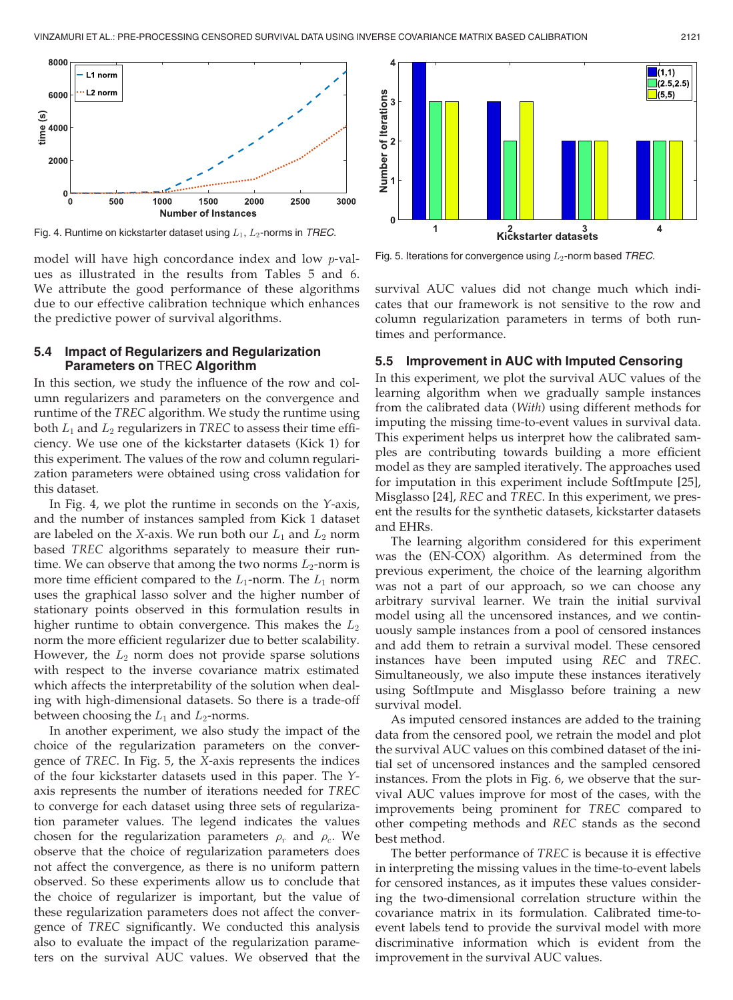

Fig. 4. Runtime on kickstarter dataset using  $L_1$ ,  $L_2$ -norms in TREC.

model will have high concordance index and low  $p$ -values as illustrated in the results from Tables 5 and 6. We attribute the good performance of these algorithms due to our effective calibration technique which enhances the predictive power of survival algorithms.

# 5.4 Impact of Regularizers and Regularization Parameters on TREC Algorithm

In this section, we study the influence of the row and column regularizers and parameters on the convergence and runtime of the TREC algorithm. We study the runtime using both  $L_1$  and  $L_2$  regularizers in TREC to assess their time efficiency. We use one of the kickstarter datasets (Kick 1) for this experiment. The values of the row and column regularization parameters were obtained using cross validation for this dataset.

In Fig. 4, we plot the runtime in seconds on the Y-axis, and the number of instances sampled from Kick 1 dataset are labeled on the X-axis. We run both our  $L_1$  and  $L_2$  norm based TREC algorithms separately to measure their runtime. We can observe that among the two norms  $L_2$ -norm is more time efficient compared to the  $L_1$ -norm. The  $L_1$  norm uses the graphical lasso solver and the higher number of stationary points observed in this formulation results in higher runtime to obtain convergence. This makes the  $L_2$ norm the more efficient regularizer due to better scalability. However, the  $L_2$  norm does not provide sparse solutions with respect to the inverse covariance matrix estimated which affects the interpretability of the solution when dealing with high-dimensional datasets. So there is a trade-off between choosing the  $L_1$  and  $L_2$ -norms.

In another experiment, we also study the impact of the choice of the regularization parameters on the convergence of TREC. In Fig. 5, the X-axis represents the indices of the four kickstarter datasets used in this paper. The Yaxis represents the number of iterations needed for TREC to converge for each dataset using three sets of regularization parameter values. The legend indicates the values chosen for the regularization parameters  $\rho_r$  and  $\rho_c$ . We observe that the choice of regularization parameters does not affect the convergence, as there is no uniform pattern observed. So these experiments allow us to conclude that the choice of regularizer is important, but the value of these regularization parameters does not affect the convergence of TREC significantly. We conducted this analysis also to evaluate the impact of the regularization parameters on the survival AUC values. We observed that the



Fig. 5. Iterations for convergence using  $L_2$ -norm based TREC.

survival AUC values did not change much which indicates that our framework is not sensitive to the row and column regularization parameters in terms of both runtimes and performance.

#### 5.5 Improvement in AUC with Imputed Censoring

In this experiment, we plot the survival AUC values of the learning algorithm when we gradually sample instances from the calibrated data (With) using different methods for imputing the missing time-to-event values in survival data. This experiment helps us interpret how the calibrated samples are contributing towards building a more efficient model as they are sampled iteratively. The approaches used for imputation in this experiment include SoftImpute [25], Misglasso [24], REC and TREC. In this experiment, we present the results for the synthetic datasets, kickstarter datasets and EHRs.

The learning algorithm considered for this experiment was the (EN-COX) algorithm. As determined from the previous experiment, the choice of the learning algorithm was not a part of our approach, so we can choose any arbitrary survival learner. We train the initial survival model using all the uncensored instances, and we continuously sample instances from a pool of censored instances and add them to retrain a survival model. These censored instances have been imputed using REC and TREC. Simultaneously, we also impute these instances iteratively using SoftImpute and Misglasso before training a new survival model.

As imputed censored instances are added to the training data from the censored pool, we retrain the model and plot the survival AUC values on this combined dataset of the initial set of uncensored instances and the sampled censored instances. From the plots in Fig. 6, we observe that the survival AUC values improve for most of the cases, with the improvements being prominent for TREC compared to other competing methods and REC stands as the second best method.

The better performance of TREC is because it is effective in interpreting the missing values in the time-to-event labels for censored instances, as it imputes these values considering the two-dimensional correlation structure within the covariance matrix in its formulation. Calibrated time-toevent labels tend to provide the survival model with more discriminative information which is evident from the improvement in the survival AUC values.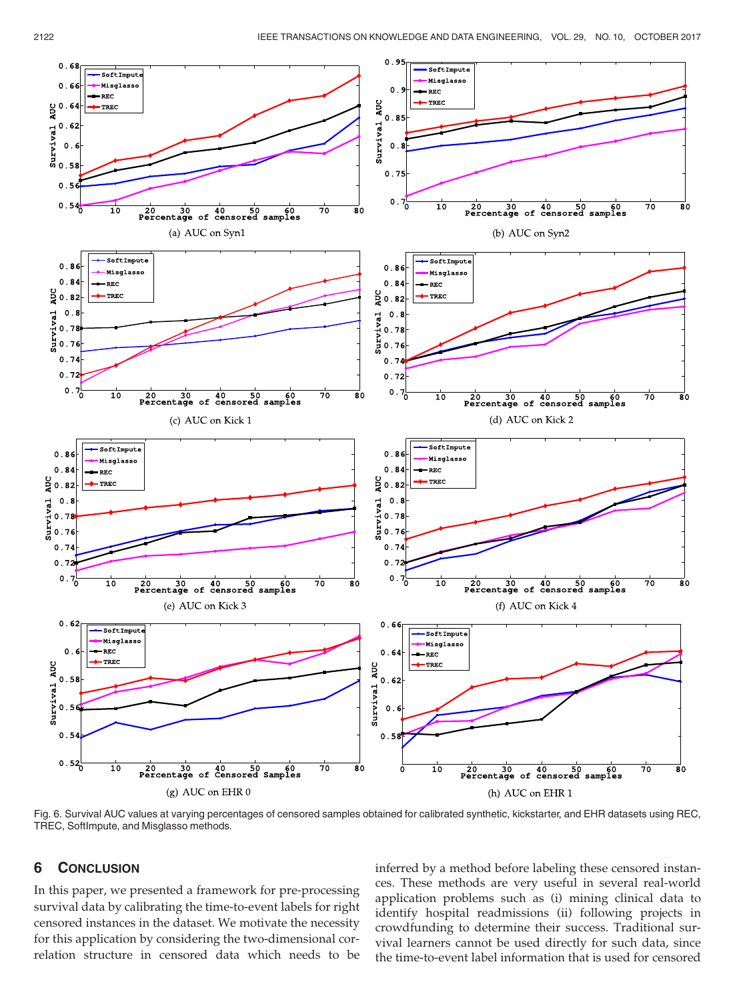

Fig. 6. Survival AUC values at varying percentages of censored samples obtained for calibrated synthetic, kickstarter, and EHR datasets using REC, TREC, SoftImpute, and Misglasso methods.

# 6 CONCLUSION

In this paper, we presented a framework for pre-processing survival data by calibrating the time-to-event labels for right censored instances in the dataset. We motivate the necessity for this application by considering the two-dimensional correlation structure in censored data which needs to be

inferred by a method before labeling these censored instances. These methods are very useful in several real-world application problems such as (i) mining clinical data to identify hospital readmissions (ii) following projects in crowdfunding to determine their success. Traditional survival learners cannot be used directly for such data, since the time-to-event label information that is used for censored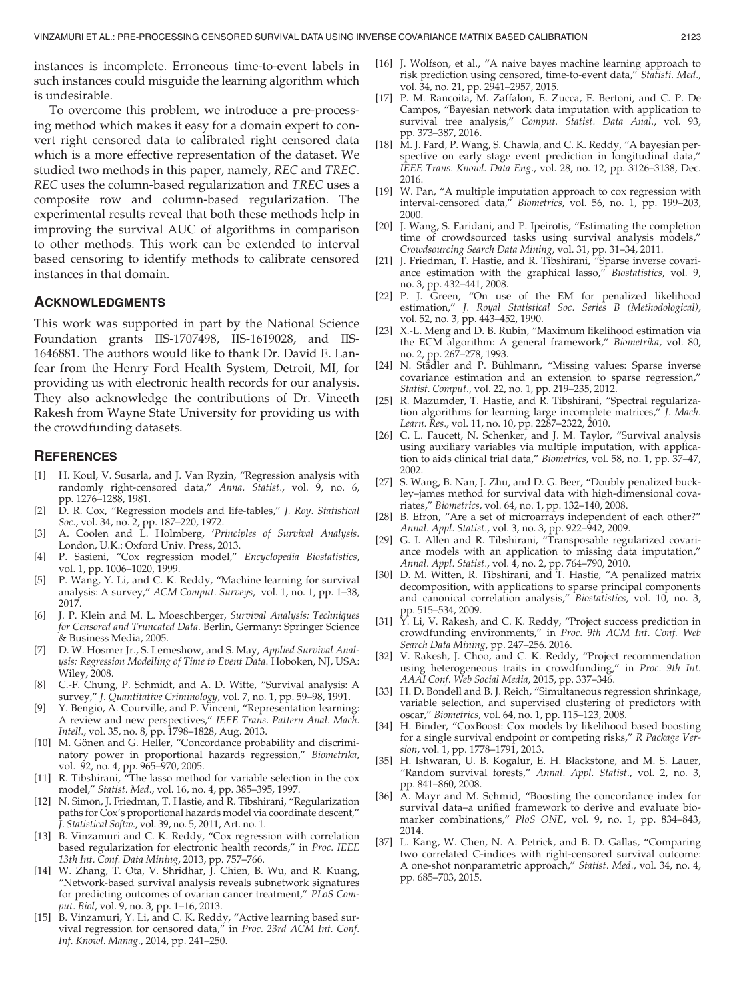instances is incomplete. Erroneous time-to-event labels in such instances could misguide the learning algorithm which is undesirable.

To overcome this problem, we introduce a pre-processing method which makes it easy for a domain expert to convert right censored data to calibrated right censored data which is a more effective representation of the dataset. We studied two methods in this paper, namely, REC and TREC. REC uses the column-based regularization and TREC uses a composite row and column-based regularization. The experimental results reveal that both these methods help in improving the survival AUC of algorithms in comparison to other methods. This work can be extended to interval based censoring to identify methods to calibrate censored instances in that domain.

# ACKNOWLEDGMENTS

This work was supported in part by the National Science Foundation grants IIS-1707498, IIS-1619028, and IIS-1646881. The authors would like to thank Dr. David E. Lanfear from the Henry Ford Health System, Detroit, MI, for providing us with electronic health records for our analysis. They also acknowledge the contributions of Dr. Vineeth Rakesh from Wayne State University for providing us with the crowdfunding datasets.

#### **REFERENCES**

- [1] H. Koul, V. Susarla, and J. Van Ryzin, "Regression analysis with randomly right-censored data," Anna. Statist., vol. 9, no. 6, pp. 1276–1288, 1981.
- [2] D. R. Cox, "Regression models and life-tables," J. Roy. Statistical Soc., vol. 34, no. 2, pp. 187–220, 1972.
- [3] A. Coolen and L. Holmberg, 'Principles of Survival Analysis. London, U.K.: Oxford Univ. Press, 2013.
- [4] P. Sasieni, "Cox regression model," Encyclopedia Biostatistics, vol. 1, pp. 1006–1020, 1999.
- [5] P. Wang, Y. Li, and C. K. Reddy, "Machine learning for survival analysis: A survey," ACM Comput. Surveys, vol. 1, no. 1, pp. 1–38, 2017.
- [6] J. P. Klein and M. L. Moeschberger, Survival Analysis: Techniques for Censored and Truncated Data. Berlin, Germany: Springer Science & Business Media, 2005.
- [7] D. W. Hosmer Jr., S. Lemeshow, and S. May, Applied Survival Analysis: Regression Modelling of Time to Event Data. Hoboken, NJ, USA: Wiley, 2008.
- [8] C.-F. Chung, P. Schmidt, and A. D. Witte, "Survival analysis: A survey," J. Quantitative Criminology, vol. 7, no. 1, pp. 59-98, 1991.
- [9] Y. Bengio, A. Courville, and P. Vincent, "Representation learning: A review and new perspectives," IEEE Trans. Pattern Anal. Mach. Intell., vol. 35, no. 8, pp. 1798–1828, Aug. 2013.
- [10] M. Gönen and G. Heller, "Concordance probability and discriminatory power in proportional hazards regression," Biometrika, vol. 92, no. 4, pp. 965–970, 2005.
- [11] R. Tibshirani, "The lasso method for variable selection in the cox model," Statist. Med., vol. 16, no. 4, pp. 385–395, 1997.
- [12] N. Simon, J. Friedman, T. Hastie, and R. Tibshirani, "Regularization paths for Cox's proportional hazards model via coordinate descent," J. Statistical Softw., vol. 39, no. 5, 2011, Art. no. 1.
- [13] B. Vinzamuri and C. K. Reddy, "Cox regression with correlation based regularization for electronic health records," in Proc. IEEE 13th Int. Conf. Data Mining, 2013, pp. 757–766.
- [14] W. Zhang, T. Ota, V. Shridhar, J. Chien, B. Wu, and R. Kuang, "Network-based survival analysis reveals subnetwork signatures for predicting outcomes of ovarian cancer treatment," PLoS Comput. Biol, vol. 9, no. 3, pp. 1–16, 2013.
- [15] B. Vinzamuri, Y. Li, and C. K. Reddy, "Active learning based survival regression for censored data," in Proc. 23rd ACM Int. Conf. Inf. Knowl. Manag., 2014, pp. 241–250.
- [16] J. Wolfson, et al., "A naive bayes machine learning approach to risk prediction using censored, time-to-event data," Statisti. Med., vol. 34, no. 21, pp. 2941-2957, 2015.
- [17] P. M. Rancoita, M. Zaffalon, E. Zucca, F. Bertoni, and C. P. De Campos, "Bayesian network data imputation with application to survival tree analysis," Comput. Statist. Data Anal., vol. 93, pp. 373–387, 2016.
- [18] M. J. Fard, P. Wang, S. Chawla, and C. K. Reddy, "A bayesian perspective on early stage event prediction in longitudinal data," IEEE Trans. Knowl. Data Eng., vol. 28, no. 12, pp. 3126–3138, Dec. 2016.
- [19] W. Pan, "A multiple imputation approach to cox regression with interval-censored data," Biometrics, vol. 56, no. 1, pp. 199–203, 2000.
- [20] J. Wang, S. Faridani, and P. Ipeirotis, "Estimating the completion time of crowdsourced tasks using survival analysis models," Crowdsourcing Search Data Mining, vol. 31, pp. 31–34, 2011.
- [21] J. Friedman, T. Hastie, and R. Tibshirani, "Sparse inverse covariance estimation with the graphical lasso," Biostatistics, vol. 9, no. 3, pp. 432–441, 2008.
- [22] P. J. Green, "On use of the EM for penalized likelihood estimation," J. Royal Statistical Soc. Series B (Methodological), vol. 52, no. 3, pp. 443–452, 1990.
- [23] X.-L. Meng and D. B. Rubin, "Maximum likelihood estimation via the ECM algorithm: A general framework," Biometrika, vol. 80, no. 2, pp. 267–278, 1993.
- [24] N. Städler and P. Bühlmann, "Missing values: Sparse inverse covariance estimation and an extension to sparse regression," Statist. Comput., vol. 22, no. 1, pp. 219–235, 2012.
- [25] R. Mazumder, T. Hastie, and R. Tibshirani, "Spectral regularization algorithms for learning large incomplete matrices," J. Mach. Learn. Res., vol. 11, no. 10, pp. 2287–2322, 2010.
- [26] C. L. Faucett, N. Schenker, and J. M. Taylor, "Survival analysis using auxiliary variables via multiple imputation, with application to aids clinical trial data," Biometrics, vol. 58, no. 1, pp. 37–47, 2002.
- [27] S. Wang, B. Nan, J. Zhu, and D. G. Beer, "Doubly penalized buckley–james method for survival data with high-dimensional covariates," Biometrics, vol. 64, no. 1, pp. 132–140, 2008.
- [28] B. Efron, "Are a set of microarrays independent of each other?" Annal. Appl. Statist., vol. 3, no. 3, pp. 922–942, 2009.
- [29] G. I. Allen and R. Tibshirani, "Transposable regularized covariance models with an application to missing data imputation," Annal. Appl. Statist., vol. 4, no. 2, pp. 764–790, 2010.
- [30] D. M. Witten, R. Tibshirani, and T. Hastie, "A penalized matrix decomposition, with applications to sparse principal components and canonical correlation analysis," Biostatistics, vol. 10, no. 3, pp. 515–534, 2009.
- [31] Y. Li, V. Rakesh, and C. K. Reddy, "Project success prediction in crowdfunding environments," in Proc. 9th ACM Int. Conf. Web Search Data Mining, pp. 247–256. 2016.
- [32] V. Rakesh, J. Choo, and C. K. Reddy, "Project recommendation using heterogeneous traits in crowdfunding," in Proc. 9th Int. AAAI Conf. Web Social Media, 2015, pp. 337–346.
- [33] H. D. Bondell and B. J. Reich, "Simultaneous regression shrinkage, variable selection, and supervised clustering of predictors with oscar," Biometrics, vol. 64, no. 1, pp. 115–123, 2008.
- [34] H. Binder, "CoxBoost: Cox models by likelihood based boosting for a single survival endpoint or competing risks," R Package Version, vol. 1, pp. 1778–1791, 2013.
- [35] H. Ishwaran, U. B. Kogalur, E. H. Blackstone, and M. S. Lauer, "Random survival forests," Annal. Appl. Statist., vol. 2, no. 3, pp. 841–860, 2008.
- [36] A. Mayr and M. Schmid, "Boosting the concordance index for survival data–a unified framework to derive and evaluate biomarker combinations," PloS ONE, vol. 9, no. 1, pp. 834–843, 2014.
- [37] L. Kang, W. Chen, N. A. Petrick, and B. D. Gallas, "Comparing two correlated C-indices with right-censored survival outcome: A one-shot nonparametric approach," Statist. Med., vol. 34, no. 4, pp. 685–703, 2015.